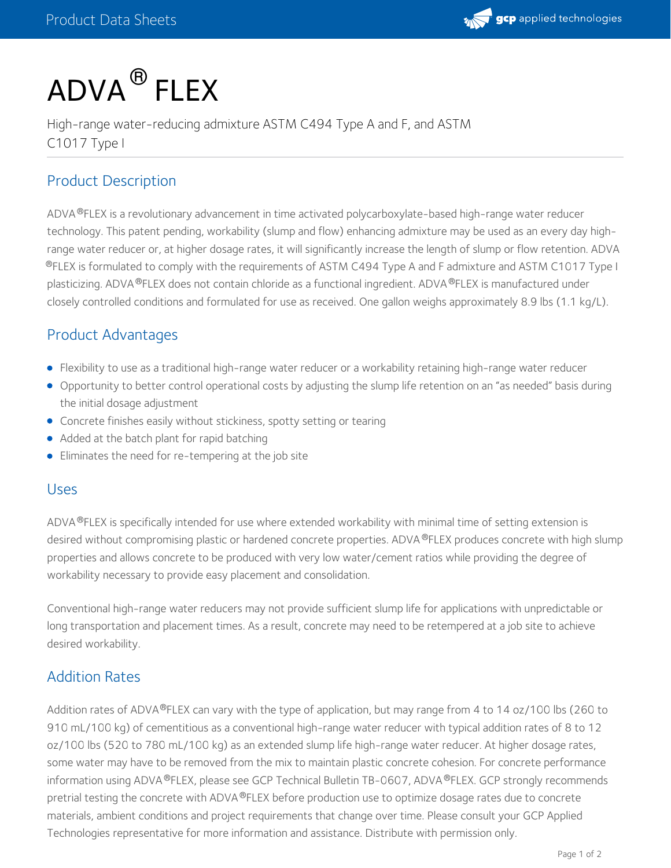

# $\mathsf{ADVA}^{\circledR}$  FLEX

High-range water-reducing admixture ASTM C494 Type A and F, and ASTM C1017 Type I

## Product Description

ADVA®FLEX is a revolutionary advancement in time activated polycarboxylate-based high-range water reducer technology. This patent pending, workability (slump and flow) enhancing admixture may be used as an every day highrange water reducer or, at higher dosage rates, it will significantly increase the length of slump or flow retention. ADVA  $^{\circledR}$ FLEX is formulated to comply with the requirements of ASTM C494 Type A and F admixture and ASTM C1017 Type I plasticizing. ADVA ®FLEX does not contain chloride as a functional ingredient. ADVA ®FLEX is manufactured under closely controlled conditions and formulated for use as received. One gallon weighs approximately 8.9 lbs (1.1 kg/L).

# Product Advantages

- Flexibility to use as a traditional high-range water reducer or a workability retaining high-range water reducer
- Opportunity to better control operational costs by adjusting the slump life retention on an "as needed" basis during the initial dosage adjustment
- Concrete finishes easily without stickiness, spotty setting or tearing
- Added at the batch plant for rapid batching
- Eliminates the need for re-tempering at the job site

#### Uses

ADVA®FLEX is specifically intended for use where extended workability with minimal time of setting extension is desired without compromising plastic or hardened concrete properties. ADVA ®FLEX produces concrete with high slump properties and allows concrete to be produced with very low water/cement ratios while providing the degree of workability necessary to provide easy placement and consolidation.

Conventional high-range water reducers may not provide sufficient slump life for applications with unpredictable or long transportation and placement times. As a result, concrete may need to be retempered at a job site to achieve desired workability.

# Addition Rates

Addition rates of ADVA®FLEX can vary with the type of application, but may range from 4 to 14 oz/100 lbs (260 to 910 mL/100 kg) of cementitious as a conventional high-range water reducer with typical addition rates of 8 to 12 oz/100 lbs (520 to 780 mL/100 kg) as an extended slump life high-range water reducer. At higher dosage rates, some water may have to be removed from the mix to maintain plastic concrete cohesion. For concrete performance information using ADVA ®FLEX, please see GCP Technical Bulletin TB-0607, ADVA ®FLEX. GCP strongly recommends pretrial testing the concrete with ADVA®FLEX before production use to optimize dosage rates due to concrete materials, ambient conditions and project requirements that change over time. Please consult your GCP Applied Technologies representative for more information and assistance. Distribute with permission only.